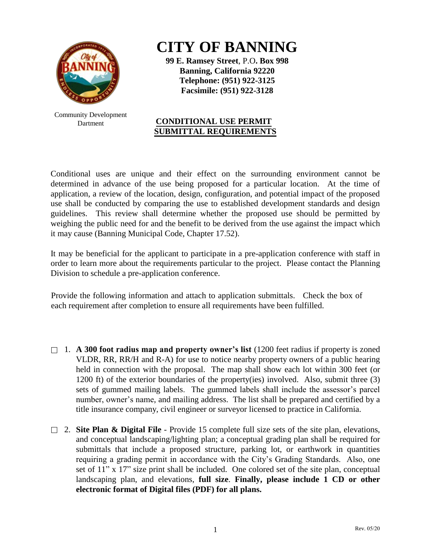

Community Development Dartment

## **CITY OF BANNING**

**99 E. Ramsey Street**, P.O**. Box 998 Banning, California 92220 Telephone: (951) 922-3125 Facsimile: (951) 922-3128**

## **CONDITIONAL USE PERMIT SUBMITTAL REQUIREMENTS**

Conditional uses are unique and their effect on the surrounding environment cannot be determined in advance of the use being proposed for a particular location. At the time of application, a review of the location, design, configuration, and potential impact of the proposed use shall be conducted by comparing the use to established development standards and design guidelines. This review shall determine whether the proposed use should be permitted by weighing the public need for and the benefit to be derived from the use against the impact which it may cause (Banning Municipal Code, Chapter 17.52).

It may be beneficial for the applicant to participate in a pre-application conference with staff in order to learn more about the requirements particular to the project. Please contact the Planning Division to schedule a pre-application conference.

Provide the following information and attach to application submittals. Check the box of each requirement after completion to ensure all requirements have been fulfilled.

- 1. **A 300 foot radius map and property owner's list** (1200 feet radius if property is zoned VLDR, RR, RR/H and R-A) for use to notice nearby property owners of a public hearing held in connection with the proposal. The map shall show each lot within 300 feet (or 1200 ft) of the exterior boundaries of the property(ies) involved. Also, submit three (3) sets of gummed mailing labels. The gummed labels shall include the assessor's parcel number, owner's name, and mailing address. The list shall be prepared and certified by a title insurance company, civil engineer or surveyor licensed to practice in California.
- 2. **Site Plan & Digital File** Provide 15 complete full size sets of the site plan, elevations, and conceptual landscaping/lighting plan; a conceptual grading plan shall be required for submittals that include a proposed structure, parking lot, or earthwork in quantities requiring a grading permit in accordance with the City's Grading Standards. Also, one set of 11" x 17" size print shall be included. One colored set of the site plan, conceptual landscaping plan, and elevations, **full size**. **Finally, please include 1 CD or other electronic format of Digital files (PDF) for all plans.**